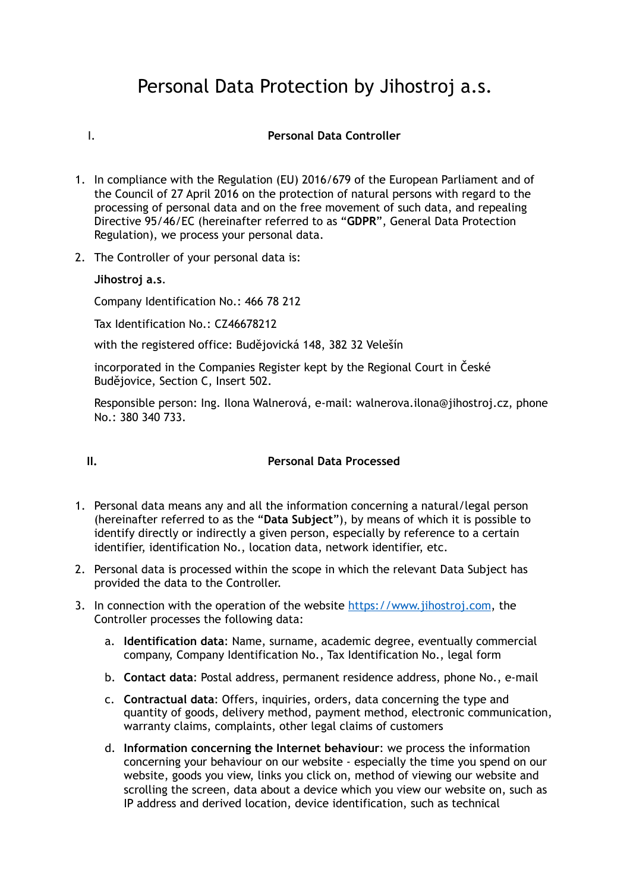# Personal Data Protection by Jihostroj a.s.

## I. **Personal Data Controller**

- 1. In compliance with the Regulation (EU) 2016/679 of the European Parliament and of the Council of 27 April 2016 on the protection of natural persons with regard to the processing of personal data and on the free movement of such data, and repealing Directive 95/46/EC (hereinafter referred to as "**GDPR**", General Data Protection Regulation), we process your personal data.
- 2. The Controller of your personal data is:

**Jihostroj a.s**.

Company Identification No.: 466 78 212

Tax Identification No.: CZ46678212

with the registered office: Budějovická 148, 382 32 Velešín

incorporated in the Companies Register kept by the Regional Court in České Budějovice, Section C, Insert 502.

Responsible person: Ing. Ilona Walnerová, e-mail: walnerova.ilona@jihostroj.cz, phone No.: 380 340 733.

#### **II. Personal Data Processed**

- 1. Personal data means any and all the information concerning a natural/legal person (hereinafter referred to as the "**Data Subject**"), by means of which it is possible to identify directly or indirectly a given person, especially by reference to a certain identifier, identification No., location data, network identifier, etc.
- 2. Personal data is processed within the scope in which the relevant Data Subject has provided the data to the Controller.
- 3. In connection with the operation of the website https://www.jihostroj.com, the Controller processes the following data:
	- a. **Identification data**: Name, surname, academic degree, eventually commercial company, Company Identification No., Tax Identification No., legal form
	- b. **Contact data**: Postal address, permanent residence address, phone No., e-mail
	- c. **Contractual data**: Offers, inquiries, orders, data concerning the type and quantity of goods, delivery method, payment method, electronic communication, warranty claims, complaints, other legal claims of customers
	- d. **Information concerning the Internet behaviour**: we process the information concerning your behaviour on our website - especially the time you spend on our website, goods you view, links you click on, method of viewing our website and scrolling the screen, data about a device which you view our website on, such as IP address and derived location, device identification, such as technical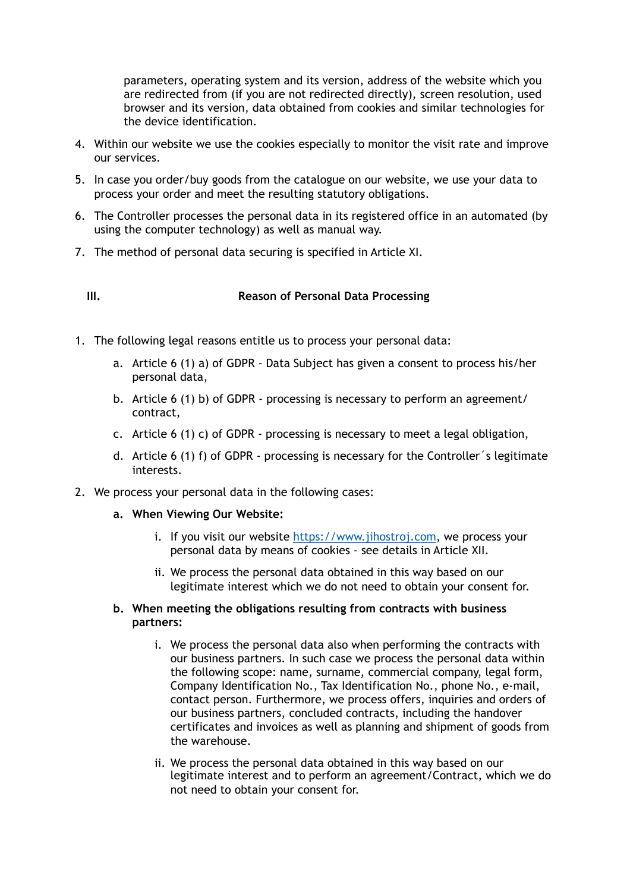parameters, operating system and its version, address of the website which you are redirected from (if you are not redirected directly), screen resolution, used browser and its version, data obtained from cookies and similar technologies for the device identification.

- 4. Within our website we use the cookies especially to monitor the visit rate and improve our services.
- 5. In case you order/buy goods from the catalogue on our website, we use your data to process your order and meet the resulting statutory obligations.
- 6. The Controller processes the personal data in its registered office in an automated (by using the computer technology) as well as manual way.
- 7. The method of personal data securing is specified in Article XI.

# **III. Reason of Personal Data Processing**

- 1. The following legal reasons entitle us to process your personal data:
	- a. Article 6 (1) a) of GDPR Data Subject has given a consent to process his/her personal data,
	- b. Article 6 (1) b) of GDPR processing is necessary to perform an agreement/ contract,
	- c. Article 6 (1) c) of GDPR processing is necessary to meet a legal obligation,
	- d. Article 6 (1) f) of GDPR processing is necessary for the Controller´s legitimate interests.
- 2. We process your personal data in the following cases:
	- **a. When Viewing Our Website:** 
		- i. If you visit our website https://www.jihostroj.com, we process your personal data by means of cookies - see details in Article XII.
		- ii. We process the personal data obtained in this way based on our legitimate interest which we do not need to obtain your consent for.
	- **b. When meeting the obligations resulting from contracts with business partners:** 
		- i. We process the personal data also when performing the contracts with our business partners. In such case we process the personal data within the following scope: name, surname, commercial company, legal form, Company Identification No., Tax Identification No., phone No., e-mail, contact person. Furthermore, we process offers, inquiries and orders of our business partners, concluded contracts, including the handover certificates and invoices as well as planning and shipment of goods from the warehouse.
		- ii. We process the personal data obtained in this way based on our legitimate interest and to perform an agreement/Contract, which we do not need to obtain your consent for.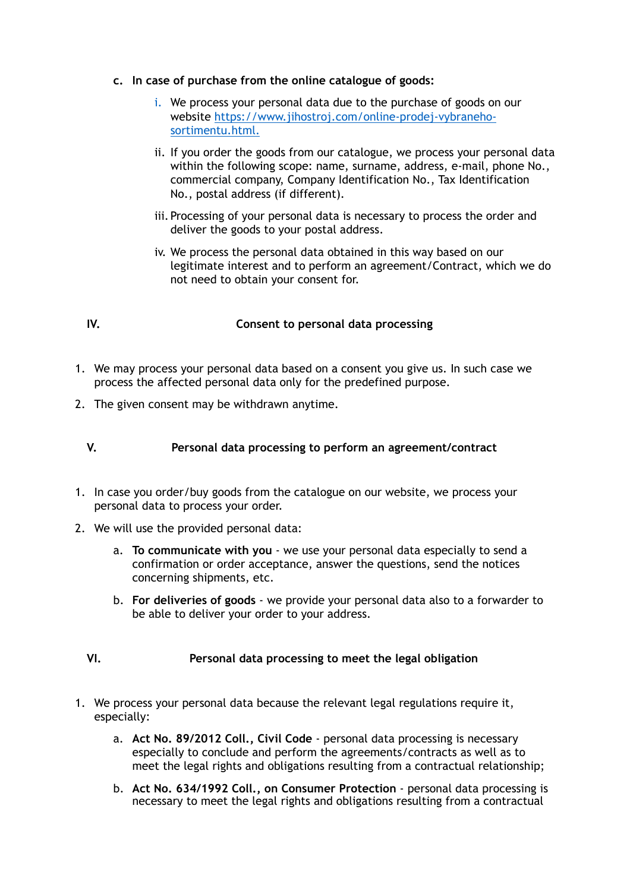- **c. In case of purchase from the online catalogue of goods:** 
	- i. We process your personal data due to the purchase of goods on our website https://www.jihostroj.com/online-prodej-vybranehosortimentu.html.
	- ii. If you order the goods from our catalogue, we process your personal data within the following scope: name, surname, address, e-mail, phone No., commercial company, Company Identification No., Tax Identification No., postal address (if different).
	- iii. Processing of your personal data is necessary to process the order and deliver the goods to your postal address.
	- iv. We process the personal data obtained in this way based on our legitimate interest and to perform an agreement/Contract, which we do not need to obtain your consent for.

# **IV. Consent to personal data processing**

- 1. We may process your personal data based on a consent you give us. In such case we process the affected personal data only for the predefined purpose.
- 2. The given consent may be withdrawn anytime.

# **V. Personal data processing to perform an agreement/contract**

- 1. In case you order/buy goods from the catalogue on our website, we process your personal data to process your order.
- 2. We will use the provided personal data:
	- a. **To communicate with you** we use your personal data especially to send a confirmation or order acceptance, answer the questions, send the notices concerning shipments, etc.
	- b. **For deliveries of goods** we provide your personal data also to a forwarder to be able to deliver your order to your address.

# **VI. Personal data processing to meet the legal obligation**

- 1. We process your personal data because the relevant legal regulations require it, especially:
	- a. **Act No. 89/2012 Coll., Civil Code** personal data processing is necessary especially to conclude and perform the agreements/contracts as well as to meet the legal rights and obligations resulting from a contractual relationship;
	- b. **Act No. 634/1992 Coll., on Consumer Protection** personal data processing is necessary to meet the legal rights and obligations resulting from a contractual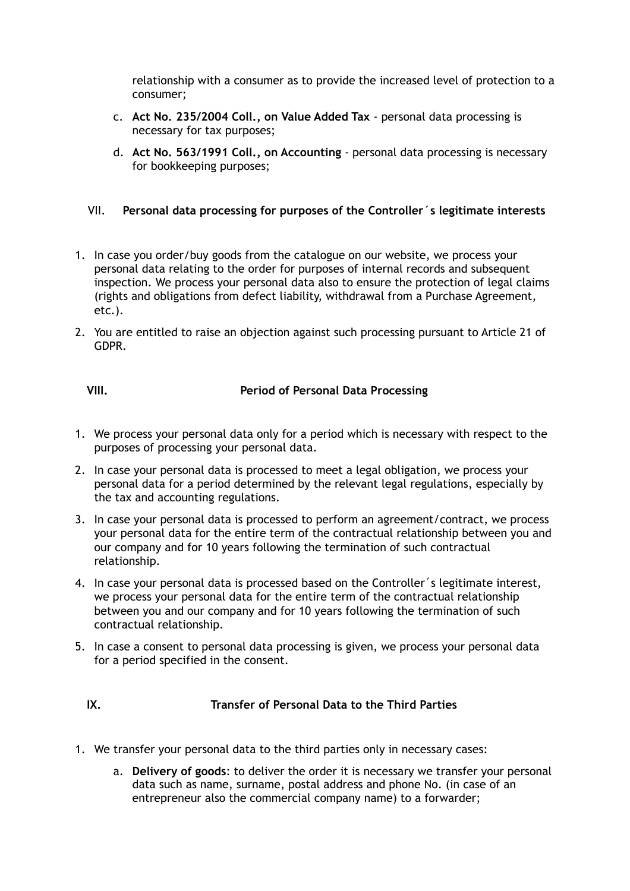relationship with a consumer as to provide the increased level of protection to a consumer;

- c. **Act No. 235/2004 Coll., on Value Added Tax** personal data processing is necessary for tax purposes;
- d. **Act No. 563/1991 Coll., on Accounting** personal data processing is necessary for bookkeeping purposes;
- VII. **Personal data processing for purposes of the Controller´s legitimate interests**
- 1. In case you order/buy goods from the catalogue on our website, we process your personal data relating to the order for purposes of internal records and subsequent inspection. We process your personal data also to ensure the protection of legal claims (rights and obligations from defect liability, withdrawal from a Purchase Agreement, etc.).
- 2. You are entitled to raise an objection against such processing pursuant to Article 21 of GDPR.

**VIII. Period of Personal Data Processing** 

- 1. We process your personal data only for a period which is necessary with respect to the purposes of processing your personal data.
- 2. In case your personal data is processed to meet a legal obligation, we process your personal data for a period determined by the relevant legal regulations, especially by the tax and accounting regulations.
- 3. In case your personal data is processed to perform an agreement/contract, we process your personal data for the entire term of the contractual relationship between you and our company and for 10 years following the termination of such contractual relationship.
- 4. In case your personal data is processed based on the Controller´s legitimate interest, we process your personal data for the entire term of the contractual relationship between you and our company and for 10 years following the termination of such contractual relationship.
- 5. In case a consent to personal data processing is given, we process your personal data for a period specified in the consent.

**IX. Transfer of Personal Data to the Third Parties** 

- 1. We transfer your personal data to the third parties only in necessary cases:
	- a. **Delivery of goods**: to deliver the order it is necessary we transfer your personal data such as name, surname, postal address and phone No. (in case of an entrepreneur also the commercial company name) to a forwarder;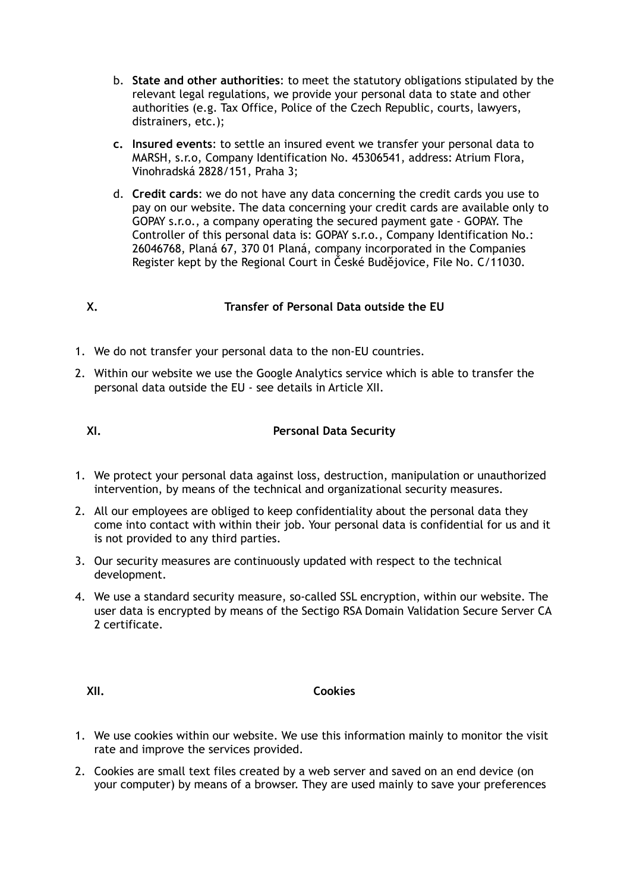- b. **State and other authorities**: to meet the statutory obligations stipulated by the relevant legal regulations, we provide your personal data to state and other authorities (e.g. Tax Office, Police of the Czech Republic, courts, lawyers, distrainers, etc.);
- **c. Insured events**: to settle an insured event we transfer your personal data to MARSH, s.r.o, Company Identification No. 45306541, address: Atrium Flora, Vinohradská 2828/151, Praha 3;
- d. **Credit cards**: we do not have any data concerning the credit cards you use to pay on our website. The data concerning your credit cards are available only to GOPAY s.r.o., a company operating the secured payment gate - GOPAY. The Controller of this personal data is: GOPAY s.r.o., Company Identification No.: 26046768, Planá 67, 370 01 Planá, company incorporated in the Companies Register kept by the Regional Court in České Budějovice, File No. C/11030.

# **X. Transfer of Personal Data outside the EU**

- 1. We do not transfer your personal data to the non-EU countries.
- 2. Within our website we use the Google Analytics service which is able to transfer the personal data outside the EU - see details in Article XII.

# **XI. Personal Data Security**

- 1. We protect your personal data against loss, destruction, manipulation or unauthorized intervention, by means of the technical and organizational security measures.
- 2. All our employees are obliged to keep confidentiality about the personal data they come into contact with within their job. Your personal data is confidential for us and it is not provided to any third parties.
- 3. Our security measures are continuously updated with respect to the technical development.
- 4. We use a standard security measure, so-called SSL encryption, within our website. The user data is encrypted by means of the Sectigo RSA Domain Validation Secure Server CA 2 certificate.

## **XII. Cookies**

- 1. We use cookies within our website. We use this information mainly to monitor the visit rate and improve the services provided.
- 2. Cookies are small text files created by a web server and saved on an end device (on your computer) by means of a browser. They are used mainly to save your preferences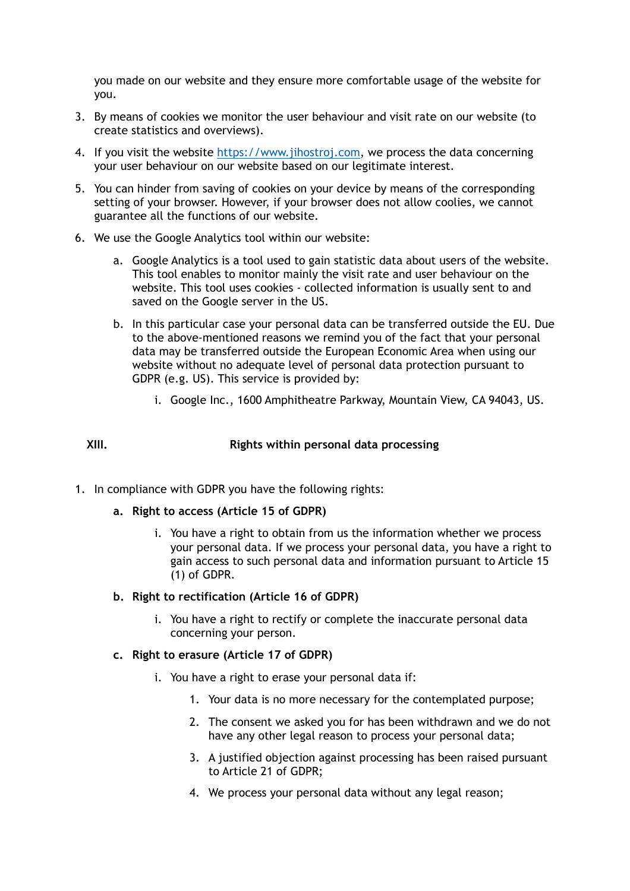you made on our website and they ensure more comfortable usage of the website for you.

- 3. By means of cookies we monitor the user behaviour and visit rate on our website (to create statistics and overviews).
- 4. If you visit the website<https://www.jihostroj.com>, we process the data concerning your user behaviour on our website based on our legitimate interest.
- 5. You can hinder from saving of cookies on your device by means of the corresponding setting of your browser. However, if your browser does not allow coolies, we cannot guarantee all the functions of our website.
- 6. We use the Google Analytics tool within our website:
	- a. Google Analytics is a tool used to gain statistic data about users of the website. This tool enables to monitor mainly the visit rate and user behaviour on the website. This tool uses cookies - collected information is usually sent to and saved on the Google server in the US.
	- b. In this particular case your personal data can be transferred outside the EU. Due to the above-mentioned reasons we remind you of the fact that your personal data may be transferred outside the European Economic Area when using our website without no adequate level of personal data protection pursuant to GDPR (e.g. US). This service is provided by:
		- i. Google Inc., 1600 Amphitheatre Parkway, Mountain View, CA 94043, US.

# **XIII. Rights within personal data processing**

- 1. In compliance with GDPR you have the following rights:
	- **a. Right to access (Article 15 of GDPR)** 
		- i. You have a right to obtain from us the information whether we process your personal data. If we process your personal data, you have a right to gain access to such personal data and information pursuant to Article 15 (1) of GDPR.

#### **b. Right to rectification (Article 16 of GDPR)**

- i. You have a right to rectify or complete the inaccurate personal data concerning your person.
- **c. Right to erasure (Article 17 of GDPR)** 
	- i. You have a right to erase your personal data if:
		- 1. Your data is no more necessary for the contemplated purpose;
		- 2. The consent we asked you for has been withdrawn and we do not have any other legal reason to process your personal data;
		- 3. A justified objection against processing has been raised pursuant to Article 21 of GDPR;
		- 4. We process your personal data without any legal reason;